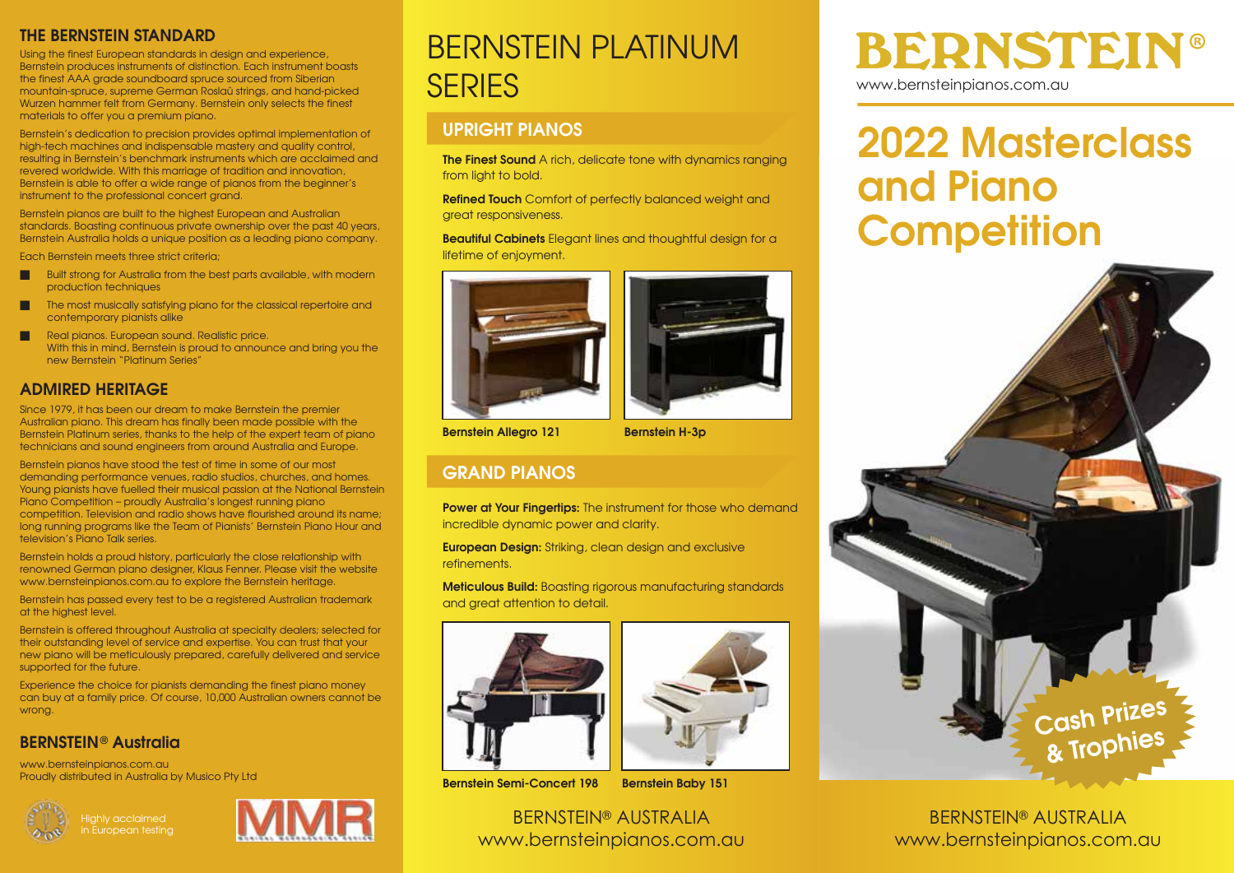#### THE BERNSTEIN STANDARD

Using the finest European standards in design and experience, Bernstein produces instruments of distinction. Each instrument boasts the finest AAA grade soundboard spruce sourced from Siberian mountain-spruce, supreme German Roslaü strings, and hand-picked Wurzen hammer felt from Germany. Bernstein only selects the finest materials to offer you a premium piano.

Bernstein's dedication to precision provides optimal implementation of high-tech machines and indispensable mastery and quality control, resulting in Bernstein's benchmark instruments which are acclaimed and revered worldwide. With this marriage of tradition and innovation, Bernstein is able to offer a wide range of pianos from the beginner's instrument to the professional concert grand.

Bernstein pianos are built to the highest European and Australian standards. Boasting continuous private ownership over the past 40 years, Bernstein Australia holds a unique position as a leading piano company.

Each Bernstein meets three strict criteria;

- Built strong for Australia from the best parts available, with modern production techniques
- The most musically satisfying piano for the classical repertoire and contemporary pianists alike
- Real pianos. European sound. Realistic price. With this in mind, Bernstein is proud to announce and bring you the new Bernstein "Platinum Series"

#### ADMIRED HERITAGE

Since 1979, it has been our dream to make Bernstein the premier Australian piano. This dream has finally been made possible with the Bernstein Platinum series, thanks to the help of the expert team of piano technicians and sound engineers from around Australia and Europe.

Bernstein pianos have stood the test of time in some of our most demanding performance venues, radio studios, churches, and homes. Young pianists have fuelled their musical passion at the National Bernstein Piano Competition – proudly Australia's longest running piano competition. Television and radio shows have flourished around its name; long running programs like the Team of Pianists' Bernstein Piano Hour and television's Piano Talk series.

Bernstein holds a proud history, particularly the close relationship with renowned German piano designer, Klaus Fenner. Please visit the website www.bernsteinpianos.com.au to explore the Bernstein heritage.

Bernstein has passed every test to be a registered Australian trademark at the highest level.

Bernstein is offered throughout Australia at specialty dealers; selected for their outstanding level of service and expertise. You can trust that your new piano will be meticulously prepared, carefully delivered and service supported for the future.

Experience the choice for pianists demanding the finest piano money can buy at a family price. Of course, 10,000 Australian owners cannot be wrong.

#### BERNSTEIN® Australia

www.bernsteinpianos.com.au Proudly distributed in Australia by Musico Pty Ltd





## BERNSTEIN PLATINUM **SERIES**

#### UPRIGHT PIANOS

The Finest Sound A rich, delicate tone with dynamics ranging from light to bold.

Refined Touch Comfort of perfectly balanced weight and great responsiveness.

Beautiful Cabinets Elegant lines and thoughtful design for a lifetime of enjoyment.



#### GRAND PIANOS

Power at Your Fingertips: The instrument for those who demand incredible dynamic power and clarity.

European Design: Striking, clean design and exclusive refinements.

Meticulous Build: Boasting rigorous manufacturing standards and great attention to detail.







BERNSTEIN® AUSTRALIA www.bernsteinpianos.com.au

# **BERNSTEIN®**

www.bernsteinpianos.com.au

## 2022 Masterclass and Piano **Competition**



BERNSTEIN® AUSTRALIA www.bernsteinpianos.com.au